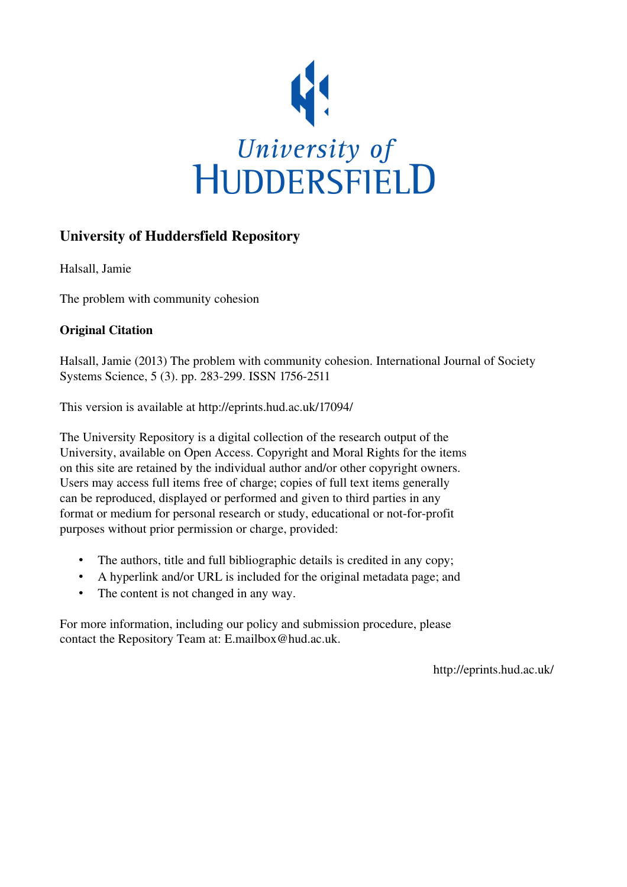

# University of Huddersfield Repository

Halsall, Jamie

The problem with community cohesion

# Original Citation

Halsall, Jamie (2013) The problem with community cohesion. International Journal of Society Systems Science, 5 (3). pp. 283-299. ISSN 1756-2511

This version is available at http://eprints.hud.ac.uk/17094/

The University Repository is a digital collection of the research output of the University, available on Open Access. Copyright and Moral Rights for the items on this site are retained by the individual author and/or other copyright owners. Users may access full items free of charge; copies of full text items generally can be reproduced, displayed or performed and given to third parties in any format or medium for personal research or study, educational or not-for-profit purposes without prior permission or charge, provided:

- The authors, title and full bibliographic details is credited in any copy;
- A hyperlink and/or URL is included for the original metadata page; and
- The content is not changed in any way.

For more information, including our policy and submission procedure, please contact the Repository Team at: E.mailbox@hud.ac.uk.

http://eprints.hud.ac.uk/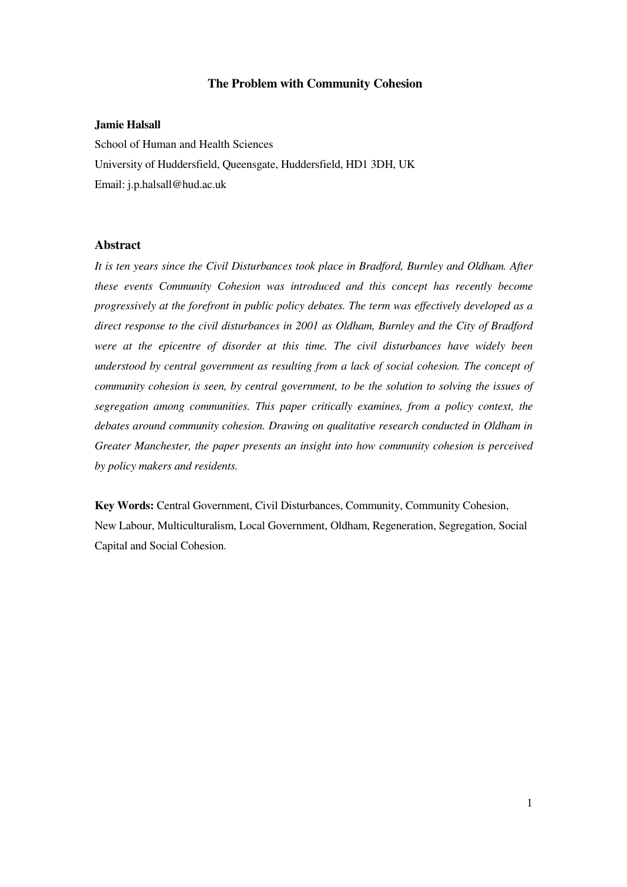## **The Problem with Community Cohesion**

#### **Jamie Halsall**

School of Human and Health Sciences University of Huddersfield, Queensgate, Huddersfield, HD1 3DH, UK Email: j.p.halsall@hud.ac.uk

# **Abstract**

*It is ten years since the Civil Disturbances took place in Bradford, Burnley and Oldham. After these events Community Cohesion was introduced and this concept has recently become progressively at the forefront in public policy debates. The term was effectively developed as a direct response to the civil disturbances in 2001 as Oldham, Burnley and the City of Bradford were at the epicentre of disorder at this time. The civil disturbances have widely been understood by central government as resulting from a lack of social cohesion. The concept of community cohesion is seen, by central government, to be the solution to solving the issues of segregation among communities. This paper critically examines, from a policy context, the debates around community cohesion. Drawing on qualitative research conducted in Oldham in Greater Manchester, the paper presents an insight into how community cohesion is perceived by policy makers and residents.* 

**Key Words:** Central Government, Civil Disturbances, Community, Community Cohesion, New Labour, Multiculturalism, Local Government, Oldham, Regeneration, Segregation, Social Capital and Social Cohesion.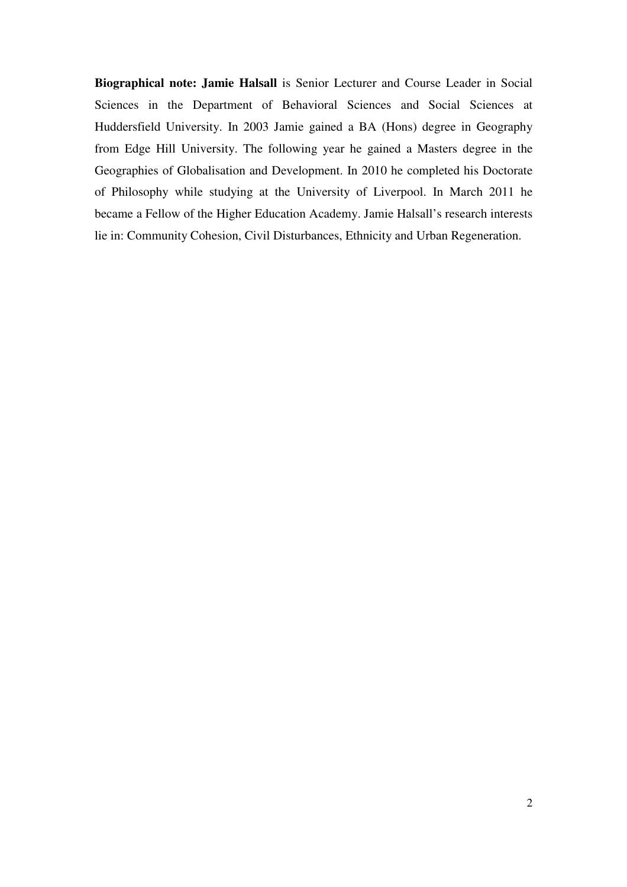**Biographical note: Jamie Halsall** is Senior Lecturer and Course Leader in Social Sciences in the Department of Behavioral Sciences and Social Sciences at Huddersfield University. In 2003 Jamie gained a BA (Hons) degree in Geography from Edge Hill University. The following year he gained a Masters degree in the Geographies of Globalisation and Development. In 2010 he completed his Doctorate of Philosophy while studying at the University of Liverpool. In March 2011 he became a Fellow of the Higher Education Academy. Jamie Halsall's research interests lie in: Community Cohesion, Civil Disturbances, Ethnicity and Urban Regeneration.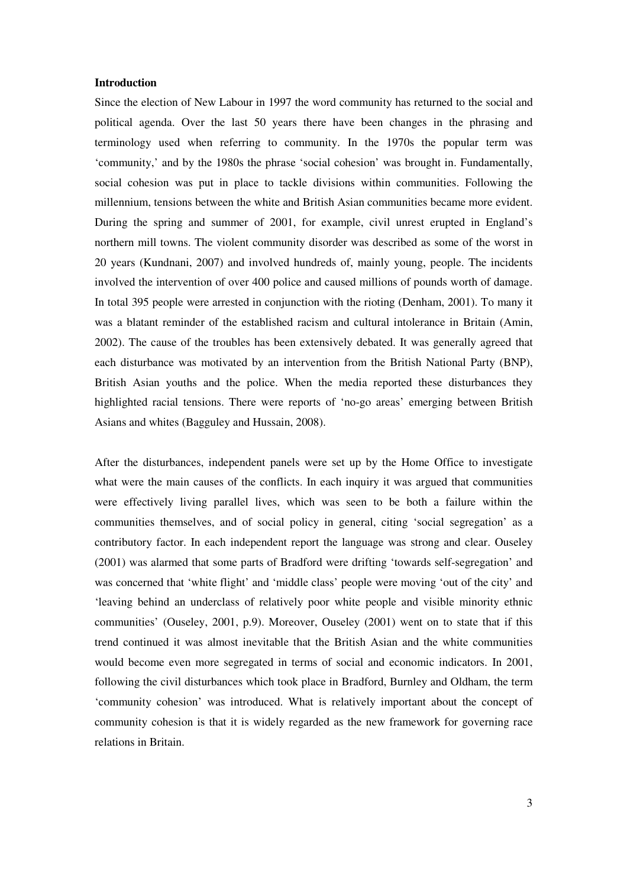#### **Introduction**

Since the election of New Labour in 1997 the word community has returned to the social and political agenda. Over the last 50 years there have been changes in the phrasing and terminology used when referring to community. In the 1970s the popular term was 'community,' and by the 1980s the phrase 'social cohesion' was brought in. Fundamentally, social cohesion was put in place to tackle divisions within communities. Following the millennium, tensions between the white and British Asian communities became more evident. During the spring and summer of 2001, for example, civil unrest erupted in England's northern mill towns. The violent community disorder was described as some of the worst in 20 years (Kundnani, 2007) and involved hundreds of, mainly young, people. The incidents involved the intervention of over 400 police and caused millions of pounds worth of damage. In total 395 people were arrested in conjunction with the rioting (Denham, 2001). To many it was a blatant reminder of the established racism and cultural intolerance in Britain (Amin, 2002). The cause of the troubles has been extensively debated. It was generally agreed that each disturbance was motivated by an intervention from the British National Party (BNP), British Asian youths and the police. When the media reported these disturbances they highlighted racial tensions. There were reports of 'no-go areas' emerging between British Asians and whites (Bagguley and Hussain, 2008).

After the disturbances, independent panels were set up by the Home Office to investigate what were the main causes of the conflicts. In each inquiry it was argued that communities were effectively living parallel lives, which was seen to be both a failure within the communities themselves, and of social policy in general, citing 'social segregation' as a contributory factor. In each independent report the language was strong and clear. Ouseley (2001) was alarmed that some parts of Bradford were drifting 'towards self-segregation' and was concerned that 'white flight' and 'middle class' people were moving 'out of the city' and 'leaving behind an underclass of relatively poor white people and visible minority ethnic communities' (Ouseley, 2001, p.9). Moreover, Ouseley (2001) went on to state that if this trend continued it was almost inevitable that the British Asian and the white communities would become even more segregated in terms of social and economic indicators. In 2001, following the civil disturbances which took place in Bradford, Burnley and Oldham, the term 'community cohesion' was introduced. What is relatively important about the concept of community cohesion is that it is widely regarded as the new framework for governing race relations in Britain.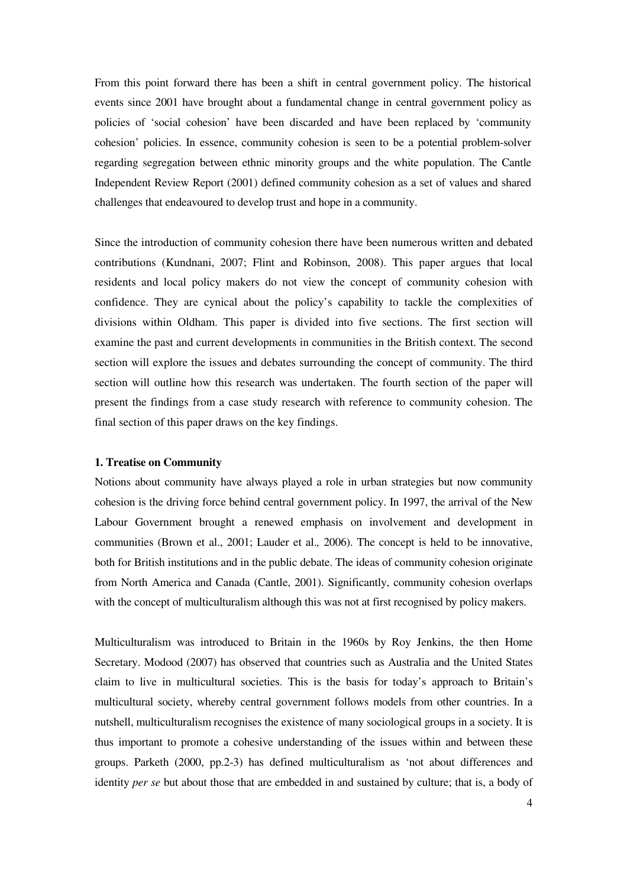From this point forward there has been a shift in central government policy. The historical events since 2001 have brought about a fundamental change in central government policy as policies of 'social cohesion' have been discarded and have been replaced by 'community cohesion' policies. In essence, community cohesion is seen to be a potential problem-solver regarding segregation between ethnic minority groups and the white population. The Cantle Independent Review Report (2001) defined community cohesion as a set of values and shared challenges that endeavoured to develop trust and hope in a community.

Since the introduction of community cohesion there have been numerous written and debated contributions (Kundnani, 2007; Flint and Robinson, 2008). This paper argues that local residents and local policy makers do not view the concept of community cohesion with confidence. They are cynical about the policy's capability to tackle the complexities of divisions within Oldham. This paper is divided into five sections. The first section will examine the past and current developments in communities in the British context. The second section will explore the issues and debates surrounding the concept of community. The third section will outline how this research was undertaken. The fourth section of the paper will present the findings from a case study research with reference to community cohesion. The final section of this paper draws on the key findings.

#### **1. Treatise on Community**

Notions about community have always played a role in urban strategies but now community cohesion is the driving force behind central government policy. In 1997, the arrival of the New Labour Government brought a renewed emphasis on involvement and development in communities (Brown et al., 2001; Lauder et al.*,* 2006). The concept is held to be innovative, both for British institutions and in the public debate. The ideas of community cohesion originate from North America and Canada (Cantle, 2001). Significantly, community cohesion overlaps with the concept of multiculturalism although this was not at first recognised by policy makers.

Multiculturalism was introduced to Britain in the 1960s by Roy Jenkins, the then Home Secretary. Modood (2007) has observed that countries such as Australia and the United States claim to live in multicultural societies. This is the basis for today's approach to Britain's multicultural society, whereby central government follows models from other countries. In a nutshell, multiculturalism recognises the existence of many sociological groups in a society. It is thus important to promote a cohesive understanding of the issues within and between these groups. Parketh (2000, pp.2-3) has defined multiculturalism as 'not about differences and identity *per se* but about those that are embedded in and sustained by culture; that is, a body of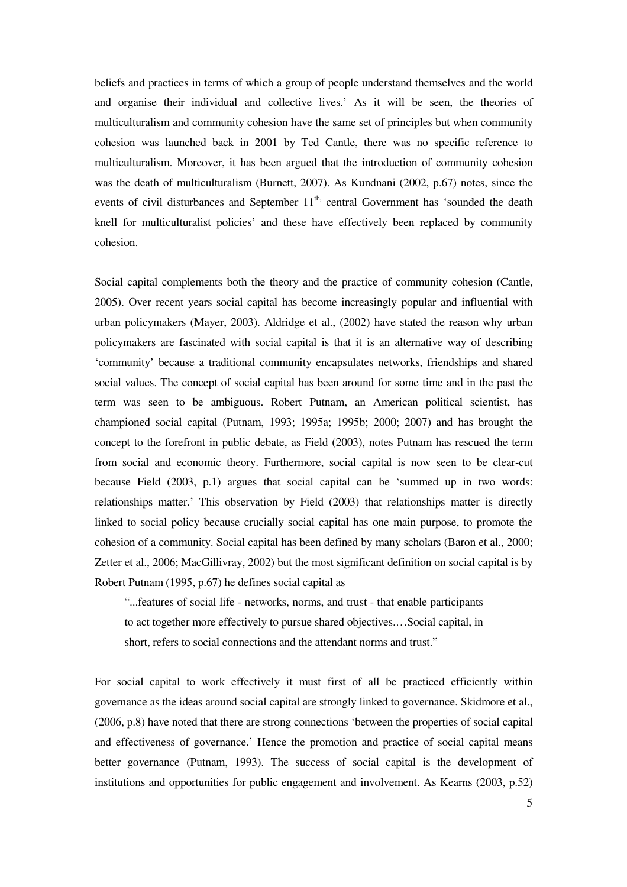beliefs and practices in terms of which a group of people understand themselves and the world and organise their individual and collective lives.' As it will be seen, the theories of multiculturalism and community cohesion have the same set of principles but when community cohesion was launched back in 2001 by Ted Cantle, there was no specific reference to multiculturalism. Moreover, it has been argued that the introduction of community cohesion was the death of multiculturalism (Burnett, 2007). As Kundnani (2002, p.67) notes, since the events of civil disturbances and September 11<sup>th,</sup> central Government has 'sounded the death knell for multiculturalist policies' and these have effectively been replaced by community cohesion.

Social capital complements both the theory and the practice of community cohesion (Cantle, 2005). Over recent years social capital has become increasingly popular and influential with urban policymakers (Mayer, 2003). Aldridge et al., (2002) have stated the reason why urban policymakers are fascinated with social capital is that it is an alternative way of describing 'community' because a traditional community encapsulates networks, friendships and shared social values. The concept of social capital has been around for some time and in the past the term was seen to be ambiguous. Robert Putnam, an American political scientist, has championed social capital (Putnam, 1993; 1995a; 1995b; 2000; 2007) and has brought the concept to the forefront in public debate, as Field (2003), notes Putnam has rescued the term from social and economic theory. Furthermore, social capital is now seen to be clear-cut because Field (2003, p.1) argues that social capital can be 'summed up in two words: relationships matter.' This observation by Field (2003) that relationships matter is directly linked to social policy because crucially social capital has one main purpose, to promote the cohesion of a community. Social capital has been defined by many scholars (Baron et al., 2000; Zetter et al., 2006; MacGillivray, 2002) but the most significant definition on social capital is by Robert Putnam (1995, p.67) he defines social capital as

"...features of social life - networks, norms, and trust - that enable participants to act together more effectively to pursue shared objectives.…Social capital, in short, refers to social connections and the attendant norms and trust."

For social capital to work effectively it must first of all be practiced efficiently within governance as the ideas around social capital are strongly linked to governance. Skidmore et al., (2006, p.8) have noted that there are strong connections 'between the properties of social capital and effectiveness of governance.' Hence the promotion and practice of social capital means better governance (Putnam, 1993). The success of social capital is the development of institutions and opportunities for public engagement and involvement. As Kearns (2003, p.52)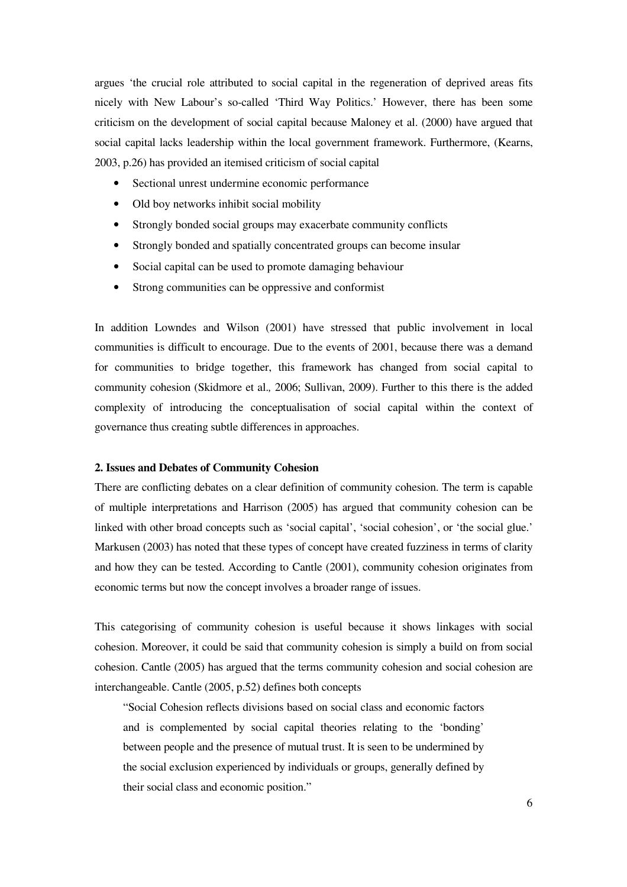argues 'the crucial role attributed to social capital in the regeneration of deprived areas fits nicely with New Labour's so-called 'Third Way Politics.' However, there has been some criticism on the development of social capital because Maloney et al. (2000) have argued that social capital lacks leadership within the local government framework. Furthermore, (Kearns, 2003, p.26) has provided an itemised criticism of social capital

- Sectional unrest undermine economic performance
- Old boy networks inhibit social mobility
- Strongly bonded social groups may exacerbate community conflicts
- Strongly bonded and spatially concentrated groups can become insular
- Social capital can be used to promote damaging behaviour
- Strong communities can be oppressive and conformist

In addition Lowndes and Wilson (2001) have stressed that public involvement in local communities is difficult to encourage. Due to the events of 2001, because there was a demand for communities to bridge together, this framework has changed from social capital to community cohesion (Skidmore et al.*,* 2006; Sullivan, 2009). Further to this there is the added complexity of introducing the conceptualisation of social capital within the context of governance thus creating subtle differences in approaches.

### **2. Issues and Debates of Community Cohesion**

There are conflicting debates on a clear definition of community cohesion. The term is capable of multiple interpretations and Harrison (2005) has argued that community cohesion can be linked with other broad concepts such as 'social capital', 'social cohesion', or 'the social glue.' Markusen (2003) has noted that these types of concept have created fuzziness in terms of clarity and how they can be tested. According to Cantle (2001), community cohesion originates from economic terms but now the concept involves a broader range of issues.

This categorising of community cohesion is useful because it shows linkages with social cohesion. Moreover, it could be said that community cohesion is simply a build on from social cohesion. Cantle (2005) has argued that the terms community cohesion and social cohesion are interchangeable. Cantle (2005, p.52) defines both concepts

"Social Cohesion reflects divisions based on social class and economic factors and is complemented by social capital theories relating to the 'bonding' between people and the presence of mutual trust. It is seen to be undermined by the social exclusion experienced by individuals or groups, generally defined by their social class and economic position."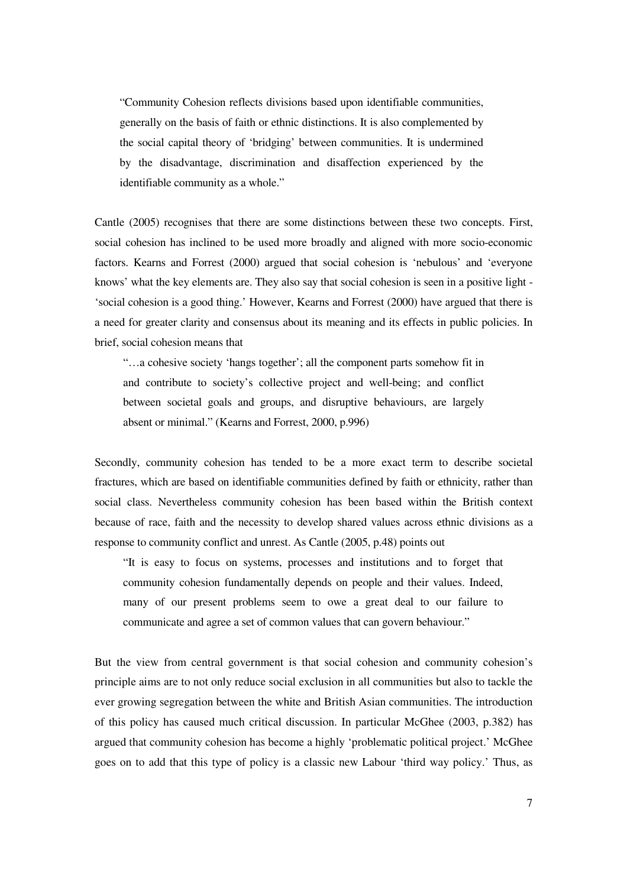"Community Cohesion reflects divisions based upon identifiable communities, generally on the basis of faith or ethnic distinctions. It is also complemented by the social capital theory of 'bridging' between communities. It is undermined by the disadvantage, discrimination and disaffection experienced by the identifiable community as a whole."

Cantle (2005) recognises that there are some distinctions between these two concepts. First, social cohesion has inclined to be used more broadly and aligned with more socio-economic factors. Kearns and Forrest (2000) argued that social cohesion is 'nebulous' and 'everyone knows' what the key elements are. They also say that social cohesion is seen in a positive light - 'social cohesion is a good thing.' However, Kearns and Forrest (2000) have argued that there is a need for greater clarity and consensus about its meaning and its effects in public policies. In brief, social cohesion means that

"…a cohesive society 'hangs together'; all the component parts somehow fit in and contribute to society's collective project and well-being; and conflict between societal goals and groups, and disruptive behaviours, are largely absent or minimal." (Kearns and Forrest, 2000, p.996)

Secondly, community cohesion has tended to be a more exact term to describe societal fractures, which are based on identifiable communities defined by faith or ethnicity, rather than social class. Nevertheless community cohesion has been based within the British context because of race, faith and the necessity to develop shared values across ethnic divisions as a response to community conflict and unrest. As Cantle (2005, p.48) points out

"It is easy to focus on systems, processes and institutions and to forget that community cohesion fundamentally depends on people and their values. Indeed, many of our present problems seem to owe a great deal to our failure to communicate and agree a set of common values that can govern behaviour."

But the view from central government is that social cohesion and community cohesion's principle aims are to not only reduce social exclusion in all communities but also to tackle the ever growing segregation between the white and British Asian communities. The introduction of this policy has caused much critical discussion. In particular McGhee (2003, p.382) has argued that community cohesion has become a highly 'problematic political project.' McGhee goes on to add that this type of policy is a classic new Labour 'third way policy.' Thus, as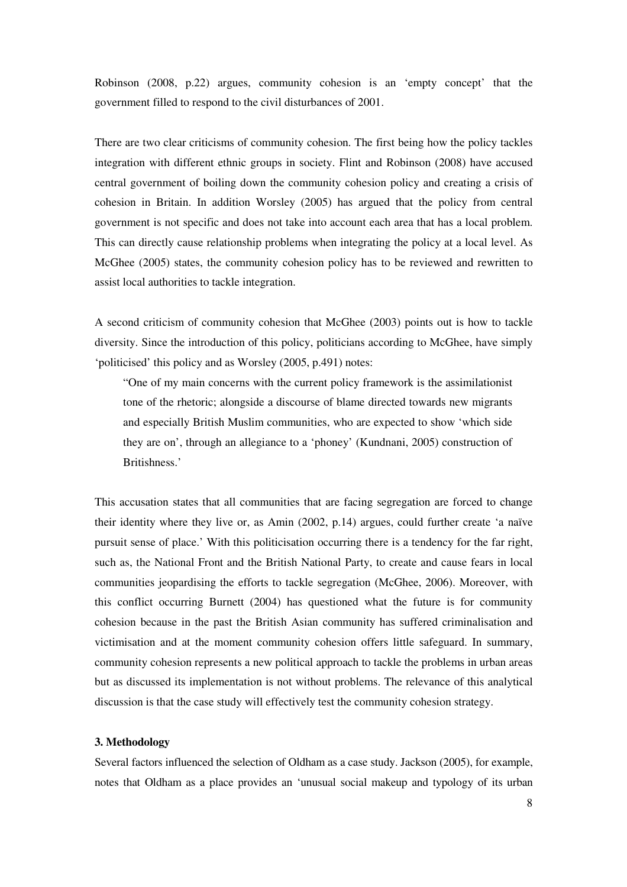Robinson (2008, p.22) argues, community cohesion is an 'empty concept' that the government filled to respond to the civil disturbances of 2001.

There are two clear criticisms of community cohesion. The first being how the policy tackles integration with different ethnic groups in society. Flint and Robinson (2008) have accused central government of boiling down the community cohesion policy and creating a crisis of cohesion in Britain. In addition Worsley (2005) has argued that the policy from central government is not specific and does not take into account each area that has a local problem. This can directly cause relationship problems when integrating the policy at a local level. As McGhee (2005) states, the community cohesion policy has to be reviewed and rewritten to assist local authorities to tackle integration.

A second criticism of community cohesion that McGhee (2003) points out is how to tackle diversity. Since the introduction of this policy, politicians according to McGhee, have simply 'politicised' this policy and as Worsley (2005, p.491) notes:

"One of my main concerns with the current policy framework is the assimilationist tone of the rhetoric; alongside a discourse of blame directed towards new migrants and especially British Muslim communities, who are expected to show 'which side they are on', through an allegiance to a 'phoney' (Kundnani, 2005) construction of Britishness.'

This accusation states that all communities that are facing segregation are forced to change their identity where they live or, as Amin (2002, p.14) argues, could further create 'a naïve pursuit sense of place.' With this politicisation occurring there is a tendency for the far right, such as, the National Front and the British National Party, to create and cause fears in local communities jeopardising the efforts to tackle segregation (McGhee, 2006). Moreover, with this conflict occurring Burnett (2004) has questioned what the future is for community cohesion because in the past the British Asian community has suffered criminalisation and victimisation and at the moment community cohesion offers little safeguard. In summary, community cohesion represents a new political approach to tackle the problems in urban areas but as discussed its implementation is not without problems. The relevance of this analytical discussion is that the case study will effectively test the community cohesion strategy.

#### **3. Methodology**

Several factors influenced the selection of Oldham as a case study. Jackson (2005), for example, notes that Oldham as a place provides an 'unusual social makeup and typology of its urban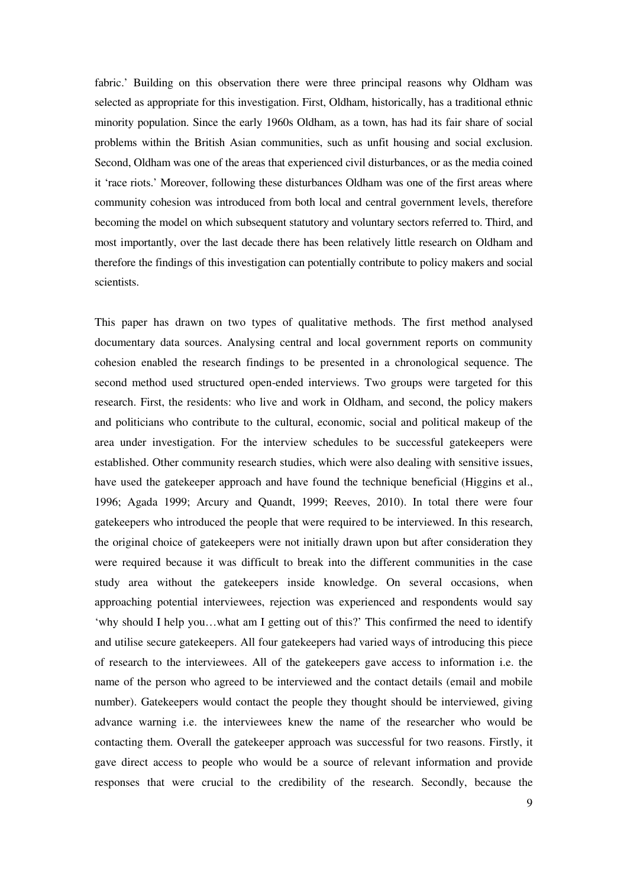fabric.' Building on this observation there were three principal reasons why Oldham was selected as appropriate for this investigation. First, Oldham, historically, has a traditional ethnic minority population. Since the early 1960s Oldham, as a town, has had its fair share of social problems within the British Asian communities, such as unfit housing and social exclusion. Second, Oldham was one of the areas that experienced civil disturbances, or as the media coined it 'race riots.' Moreover, following these disturbances Oldham was one of the first areas where community cohesion was introduced from both local and central government levels, therefore becoming the model on which subsequent statutory and voluntary sectors referred to. Third, and most importantly, over the last decade there has been relatively little research on Oldham and therefore the findings of this investigation can potentially contribute to policy makers and social scientists.

This paper has drawn on two types of qualitative methods. The first method analysed documentary data sources. Analysing central and local government reports on community cohesion enabled the research findings to be presented in a chronological sequence. The second method used structured open-ended interviews. Two groups were targeted for this research. First, the residents: who live and work in Oldham, and second, the policy makers and politicians who contribute to the cultural, economic, social and political makeup of the area under investigation. For the interview schedules to be successful gatekeepers were established. Other community research studies, which were also dealing with sensitive issues, have used the gatekeeper approach and have found the technique beneficial (Higgins et al., 1996; Agada 1999; Arcury and Quandt, 1999; Reeves, 2010). In total there were four gatekeepers who introduced the people that were required to be interviewed. In this research, the original choice of gatekeepers were not initially drawn upon but after consideration they were required because it was difficult to break into the different communities in the case study area without the gatekeepers inside knowledge. On several occasions, when approaching potential interviewees, rejection was experienced and respondents would say 'why should I help you…what am I getting out of this?' This confirmed the need to identify and utilise secure gatekeepers. All four gatekeepers had varied ways of introducing this piece of research to the interviewees. All of the gatekeepers gave access to information i.e. the name of the person who agreed to be interviewed and the contact details (email and mobile number). Gatekeepers would contact the people they thought should be interviewed, giving advance warning i.e. the interviewees knew the name of the researcher who would be contacting them. Overall the gatekeeper approach was successful for two reasons. Firstly, it gave direct access to people who would be a source of relevant information and provide responses that were crucial to the credibility of the research. Secondly, because the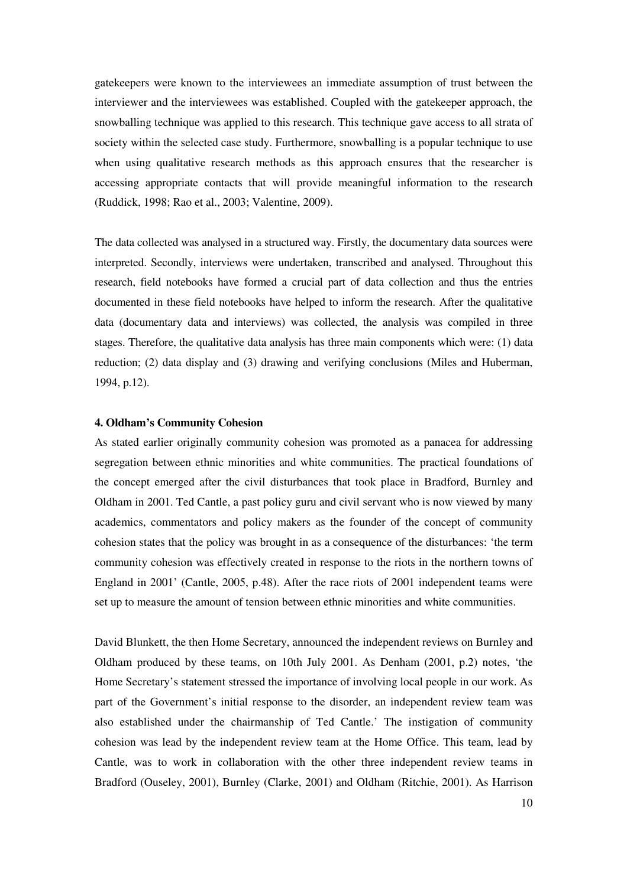gatekeepers were known to the interviewees an immediate assumption of trust between the interviewer and the interviewees was established. Coupled with the gatekeeper approach, the snowballing technique was applied to this research. This technique gave access to all strata of society within the selected case study. Furthermore, snowballing is a popular technique to use when using qualitative research methods as this approach ensures that the researcher is accessing appropriate contacts that will provide meaningful information to the research (Ruddick, 1998; Rao et al., 2003; Valentine, 2009).

The data collected was analysed in a structured way. Firstly, the documentary data sources were interpreted. Secondly, interviews were undertaken, transcribed and analysed. Throughout this research, field notebooks have formed a crucial part of data collection and thus the entries documented in these field notebooks have helped to inform the research. After the qualitative data (documentary data and interviews) was collected, the analysis was compiled in three stages. Therefore, the qualitative data analysis has three main components which were: (1) data reduction; (2) data display and (3) drawing and verifying conclusions (Miles and Huberman, 1994, p.12).

#### **4. Oldham's Community Cohesion**

As stated earlier originally community cohesion was promoted as a panacea for addressing segregation between ethnic minorities and white communities. The practical foundations of the concept emerged after the civil disturbances that took place in Bradford, Burnley and Oldham in 2001. Ted Cantle, a past policy guru and civil servant who is now viewed by many academics, commentators and policy makers as the founder of the concept of community cohesion states that the policy was brought in as a consequence of the disturbances: 'the term community cohesion was effectively created in response to the riots in the northern towns of England in 2001' (Cantle, 2005, p.48). After the race riots of 2001 independent teams were set up to measure the amount of tension between ethnic minorities and white communities.

David Blunkett, the then Home Secretary, announced the independent reviews on Burnley and Oldham produced by these teams, on 10th July 2001. As Denham (2001, p.2) notes, 'the Home Secretary's statement stressed the importance of involving local people in our work. As part of the Government's initial response to the disorder, an independent review team was also established under the chairmanship of Ted Cantle.' The instigation of community cohesion was lead by the independent review team at the Home Office. This team, lead by Cantle, was to work in collaboration with the other three independent review teams in Bradford (Ouseley, 2001), Burnley (Clarke, 2001) and Oldham (Ritchie, 2001). As Harrison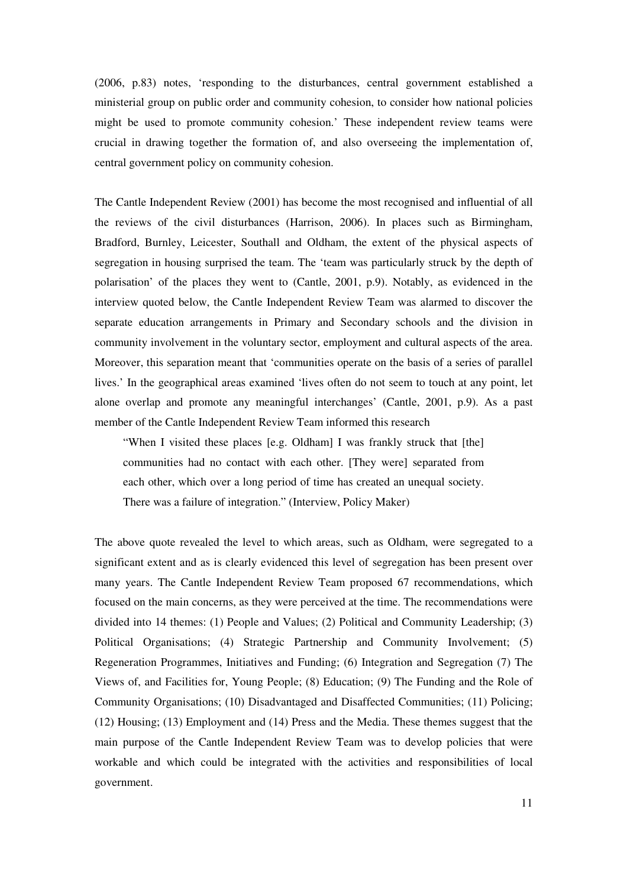(2006, p.83) notes, 'responding to the disturbances, central government established a ministerial group on public order and community cohesion, to consider how national policies might be used to promote community cohesion.' These independent review teams were crucial in drawing together the formation of, and also overseeing the implementation of, central government policy on community cohesion.

The Cantle Independent Review (2001) has become the most recognised and influential of all the reviews of the civil disturbances (Harrison, 2006). In places such as Birmingham, Bradford, Burnley, Leicester, Southall and Oldham, the extent of the physical aspects of segregation in housing surprised the team. The 'team was particularly struck by the depth of polarisation' of the places they went to (Cantle, 2001, p.9). Notably, as evidenced in the interview quoted below, the Cantle Independent Review Team was alarmed to discover the separate education arrangements in Primary and Secondary schools and the division in community involvement in the voluntary sector, employment and cultural aspects of the area. Moreover, this separation meant that 'communities operate on the basis of a series of parallel lives.' In the geographical areas examined 'lives often do not seem to touch at any point, let alone overlap and promote any meaningful interchanges' (Cantle, 2001, p.9). As a past member of the Cantle Independent Review Team informed this research

"When I visited these places [e.g. Oldham] I was frankly struck that [the] communities had no contact with each other. [They were] separated from each other, which over a long period of time has created an unequal society. There was a failure of integration." (Interview, Policy Maker)

The above quote revealed the level to which areas, such as Oldham, were segregated to a significant extent and as is clearly evidenced this level of segregation has been present over many years. The Cantle Independent Review Team proposed 67 recommendations, which focused on the main concerns, as they were perceived at the time. The recommendations were divided into 14 themes: (1) People and Values; (2) Political and Community Leadership; (3) Political Organisations; (4) Strategic Partnership and Community Involvement; (5) Regeneration Programmes, Initiatives and Funding; (6) Integration and Segregation (7) The Views of, and Facilities for, Young People; (8) Education; (9) The Funding and the Role of Community Organisations; (10) Disadvantaged and Disaffected Communities; (11) Policing; (12) Housing; (13) Employment and (14) Press and the Media. These themes suggest that the main purpose of the Cantle Independent Review Team was to develop policies that were workable and which could be integrated with the activities and responsibilities of local government.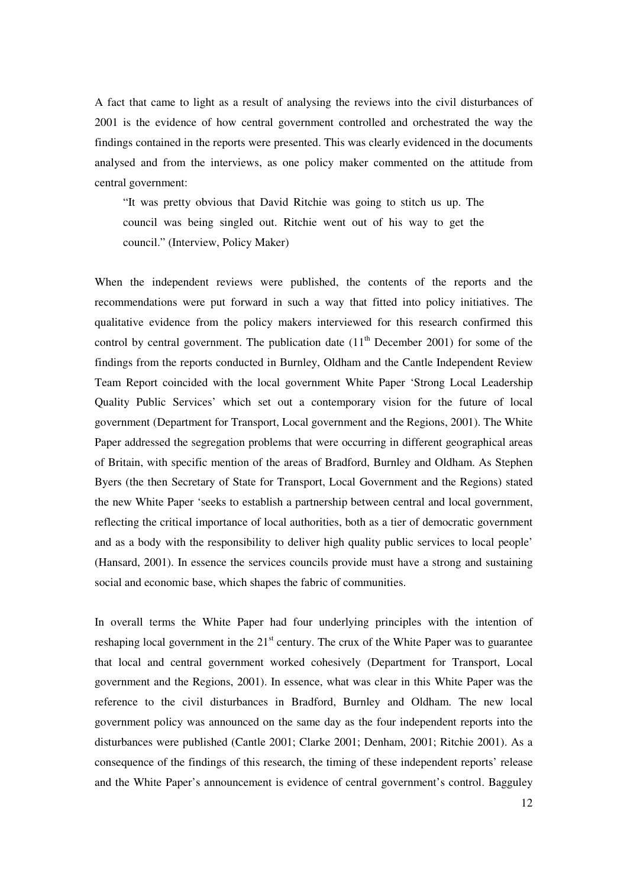A fact that came to light as a result of analysing the reviews into the civil disturbances of 2001 is the evidence of how central government controlled and orchestrated the way the findings contained in the reports were presented. This was clearly evidenced in the documents analysed and from the interviews, as one policy maker commented on the attitude from central government:

"It was pretty obvious that David Ritchie was going to stitch us up. The council was being singled out. Ritchie went out of his way to get the council." (Interview, Policy Maker)

When the independent reviews were published, the contents of the reports and the recommendations were put forward in such a way that fitted into policy initiatives. The qualitative evidence from the policy makers interviewed for this research confirmed this control by central government. The publication date  $(11<sup>th</sup>$  December 2001) for some of the findings from the reports conducted in Burnley, Oldham and the Cantle Independent Review Team Report coincided with the local government White Paper 'Strong Local Leadership Quality Public Services' which set out a contemporary vision for the future of local government (Department for Transport, Local government and the Regions, 2001). The White Paper addressed the segregation problems that were occurring in different geographical areas of Britain, with specific mention of the areas of Bradford, Burnley and Oldham. As Stephen Byers (the then Secretary of State for Transport, Local Government and the Regions) stated the new White Paper 'seeks to establish a partnership between central and local government, reflecting the critical importance of local authorities, both as a tier of democratic government and as a body with the responsibility to deliver high quality public services to local people' (Hansard, 2001). In essence the services councils provide must have a strong and sustaining social and economic base, which shapes the fabric of communities.

In overall terms the White Paper had four underlying principles with the intention of reshaping local government in the  $21<sup>st</sup>$  century. The crux of the White Paper was to guarantee that local and central government worked cohesively (Department for Transport, Local government and the Regions, 2001). In essence, what was clear in this White Paper was the reference to the civil disturbances in Bradford, Burnley and Oldham. The new local government policy was announced on the same day as the four independent reports into the disturbances were published (Cantle 2001; Clarke 2001; Denham, 2001; Ritchie 2001). As a consequence of the findings of this research, the timing of these independent reports' release and the White Paper's announcement is evidence of central government's control. Bagguley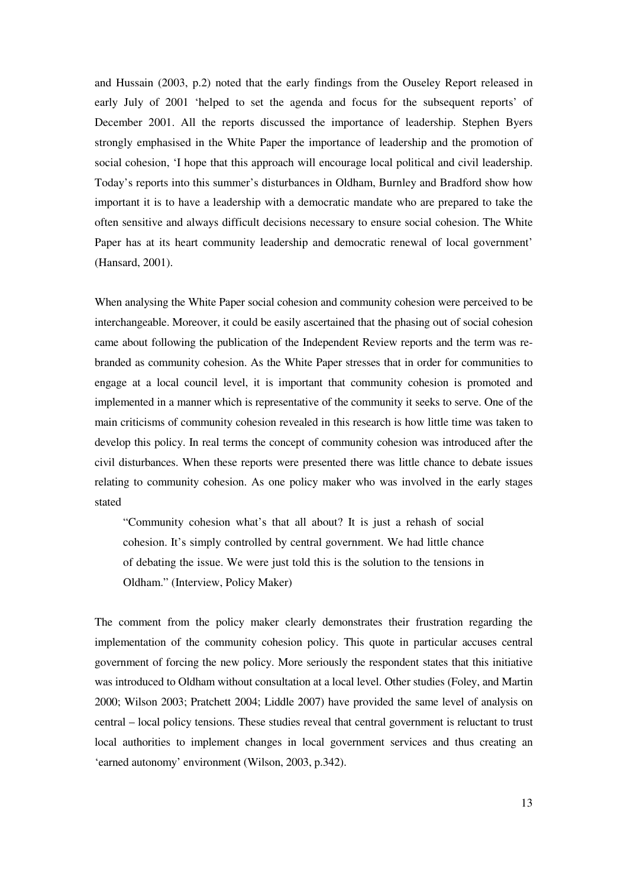and Hussain (2003, p.2) noted that the early findings from the Ouseley Report released in early July of 2001 'helped to set the agenda and focus for the subsequent reports' of December 2001. All the reports discussed the importance of leadership. Stephen Byers strongly emphasised in the White Paper the importance of leadership and the promotion of social cohesion, 'I hope that this approach will encourage local political and civil leadership. Today's reports into this summer's disturbances in Oldham, Burnley and Bradford show how important it is to have a leadership with a democratic mandate who are prepared to take the often sensitive and always difficult decisions necessary to ensure social cohesion. The White Paper has at its heart community leadership and democratic renewal of local government' (Hansard, 2001).

When analysing the White Paper social cohesion and community cohesion were perceived to be interchangeable. Moreover, it could be easily ascertained that the phasing out of social cohesion came about following the publication of the Independent Review reports and the term was rebranded as community cohesion. As the White Paper stresses that in order for communities to engage at a local council level, it is important that community cohesion is promoted and implemented in a manner which is representative of the community it seeks to serve. One of the main criticisms of community cohesion revealed in this research is how little time was taken to develop this policy. In real terms the concept of community cohesion was introduced after the civil disturbances. When these reports were presented there was little chance to debate issues relating to community cohesion. As one policy maker who was involved in the early stages stated

"Community cohesion what's that all about? It is just a rehash of social cohesion. It's simply controlled by central government. We had little chance of debating the issue. We were just told this is the solution to the tensions in Oldham." (Interview, Policy Maker)

The comment from the policy maker clearly demonstrates their frustration regarding the implementation of the community cohesion policy. This quote in particular accuses central government of forcing the new policy. More seriously the respondent states that this initiative was introduced to Oldham without consultation at a local level. Other studies (Foley, and Martin 2000; Wilson 2003; Pratchett 2004; Liddle 2007) have provided the same level of analysis on central – local policy tensions. These studies reveal that central government is reluctant to trust local authorities to implement changes in local government services and thus creating an 'earned autonomy' environment (Wilson, 2003, p.342).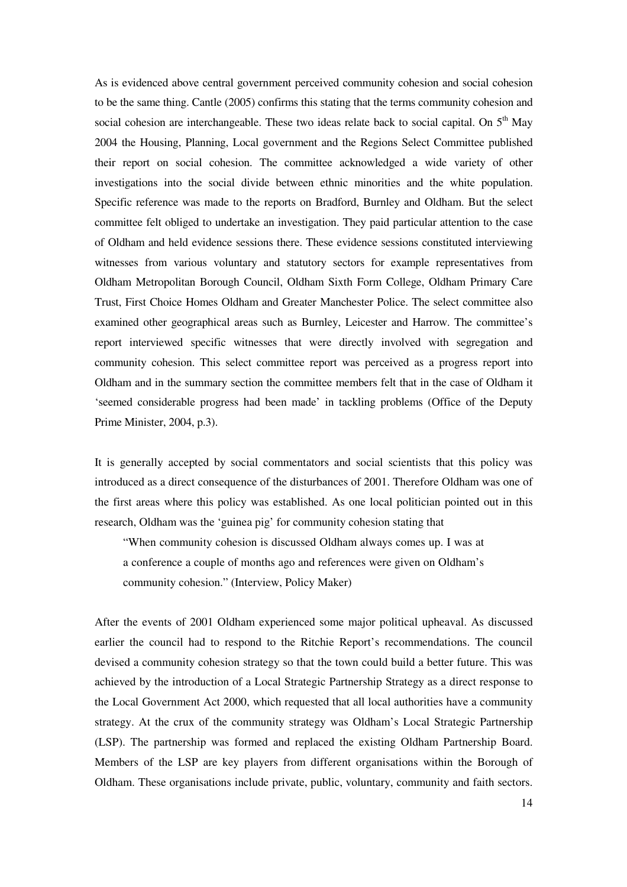As is evidenced above central government perceived community cohesion and social cohesion to be the same thing. Cantle (2005) confirms this stating that the terms community cohesion and social cohesion are interchangeable. These two ideas relate back to social capital. On  $5<sup>th</sup>$  May 2004 the Housing, Planning, Local government and the Regions Select Committee published their report on social cohesion. The committee acknowledged a wide variety of other investigations into the social divide between ethnic minorities and the white population. Specific reference was made to the reports on Bradford, Burnley and Oldham. But the select committee felt obliged to undertake an investigation. They paid particular attention to the case of Oldham and held evidence sessions there. These evidence sessions constituted interviewing witnesses from various voluntary and statutory sectors for example representatives from Oldham Metropolitan Borough Council, Oldham Sixth Form College, Oldham Primary Care Trust, First Choice Homes Oldham and Greater Manchester Police. The select committee also examined other geographical areas such as Burnley, Leicester and Harrow. The committee's report interviewed specific witnesses that were directly involved with segregation and community cohesion. This select committee report was perceived as a progress report into Oldham and in the summary section the committee members felt that in the case of Oldham it 'seemed considerable progress had been made' in tackling problems (Office of the Deputy Prime Minister, 2004, p.3).

It is generally accepted by social commentators and social scientists that this policy was introduced as a direct consequence of the disturbances of 2001. Therefore Oldham was one of the first areas where this policy was established. As one local politician pointed out in this research, Oldham was the 'guinea pig' for community cohesion stating that

"When community cohesion is discussed Oldham always comes up. I was at a conference a couple of months ago and references were given on Oldham's community cohesion." (Interview, Policy Maker)

After the events of 2001 Oldham experienced some major political upheaval. As discussed earlier the council had to respond to the Ritchie Report's recommendations. The council devised a community cohesion strategy so that the town could build a better future. This was achieved by the introduction of a Local Strategic Partnership Strategy as a direct response to the Local Government Act 2000, which requested that all local authorities have a community strategy. At the crux of the community strategy was Oldham's Local Strategic Partnership (LSP). The partnership was formed and replaced the existing Oldham Partnership Board. Members of the LSP are key players from different organisations within the Borough of Oldham. These organisations include private, public, voluntary, community and faith sectors.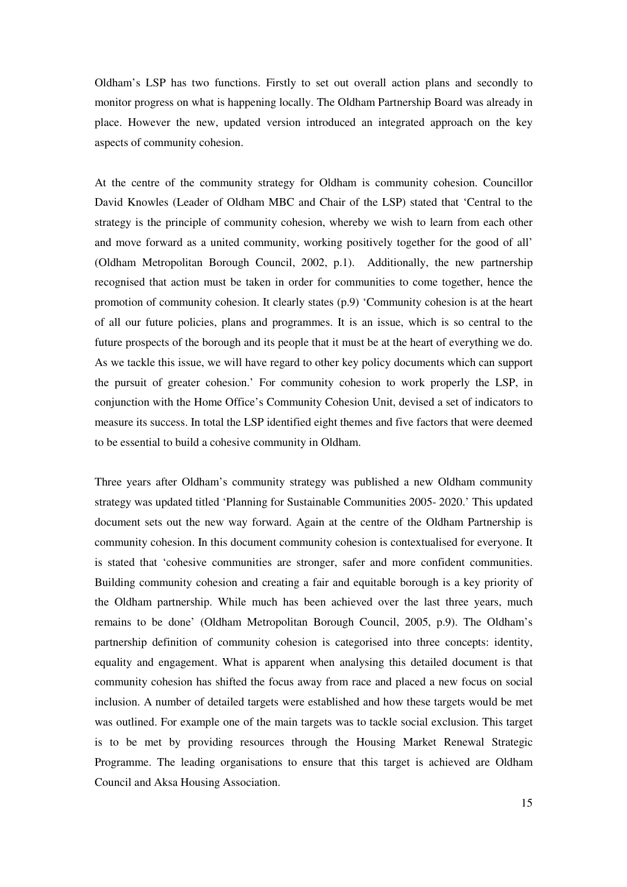Oldham's LSP has two functions. Firstly to set out overall action plans and secondly to monitor progress on what is happening locally. The Oldham Partnership Board was already in place. However the new, updated version introduced an integrated approach on the key aspects of community cohesion.

At the centre of the community strategy for Oldham is community cohesion. Councillor David Knowles (Leader of Oldham MBC and Chair of the LSP) stated that 'Central to the strategy is the principle of community cohesion, whereby we wish to learn from each other and move forward as a united community, working positively together for the good of all' (Oldham Metropolitan Borough Council, 2002, p.1). Additionally, the new partnership recognised that action must be taken in order for communities to come together, hence the promotion of community cohesion. It clearly states (p.9) 'Community cohesion is at the heart of all our future policies, plans and programmes. It is an issue, which is so central to the future prospects of the borough and its people that it must be at the heart of everything we do. As we tackle this issue, we will have regard to other key policy documents which can support the pursuit of greater cohesion.' For community cohesion to work properly the LSP, in conjunction with the Home Office's Community Cohesion Unit, devised a set of indicators to measure its success. In total the LSP identified eight themes and five factors that were deemed to be essential to build a cohesive community in Oldham.

Three years after Oldham's community strategy was published a new Oldham community strategy was updated titled 'Planning for Sustainable Communities 2005- 2020.' This updated document sets out the new way forward. Again at the centre of the Oldham Partnership is community cohesion. In this document community cohesion is contextualised for everyone. It is stated that 'cohesive communities are stronger, safer and more confident communities. Building community cohesion and creating a fair and equitable borough is a key priority of the Oldham partnership. While much has been achieved over the last three years, much remains to be done' (Oldham Metropolitan Borough Council, 2005, p.9). The Oldham's partnership definition of community cohesion is categorised into three concepts: identity, equality and engagement. What is apparent when analysing this detailed document is that community cohesion has shifted the focus away from race and placed a new focus on social inclusion. A number of detailed targets were established and how these targets would be met was outlined. For example one of the main targets was to tackle social exclusion. This target is to be met by providing resources through the Housing Market Renewal Strategic Programme. The leading organisations to ensure that this target is achieved are Oldham Council and Aksa Housing Association.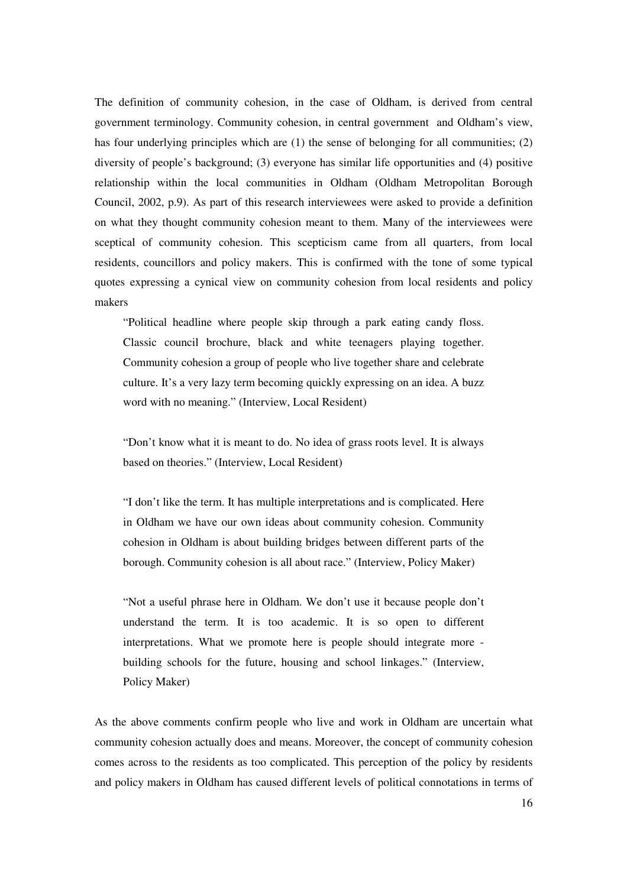The definition of community cohesion, in the case of Oldham, is derived from central government terminology. Community cohesion, in central government and Oldham's view, has four underlying principles which are (1) the sense of belonging for all communities; (2) diversity of people's background; (3) everyone has similar life opportunities and (4) positive relationship within the local communities in Oldham (Oldham Metropolitan Borough Council, 2002, p.9). As part of this research interviewees were asked to provide a definition on what they thought community cohesion meant to them. Many of the interviewees were sceptical of community cohesion. This scepticism came from all quarters, from local residents, councillors and policy makers. This is confirmed with the tone of some typical quotes expressing a cynical view on community cohesion from local residents and policy makers

"Political headline where people skip through a park eating candy floss. Classic council brochure, black and white teenagers playing together. Community cohesion a group of people who live together share and celebrate culture. It's a very lazy term becoming quickly expressing on an idea. A buzz word with no meaning." (Interview, Local Resident)

"Don't know what it is meant to do. No idea of grass roots level. It is always based on theories." (Interview, Local Resident)

"I don't like the term. It has multiple interpretations and is complicated. Here in Oldham we have our own ideas about community cohesion. Community cohesion in Oldham is about building bridges between different parts of the borough. Community cohesion is all about race." (Interview, Policy Maker)

"Not a useful phrase here in Oldham. We don't use it because people don't understand the term. It is too academic. It is so open to different interpretations. What we promote here is people should integrate more building schools for the future, housing and school linkages." (Interview, Policy Maker)

As the above comments confirm people who live and work in Oldham are uncertain what community cohesion actually does and means. Moreover, the concept of community cohesion comes across to the residents as too complicated. This perception of the policy by residents and policy makers in Oldham has caused different levels of political connotations in terms of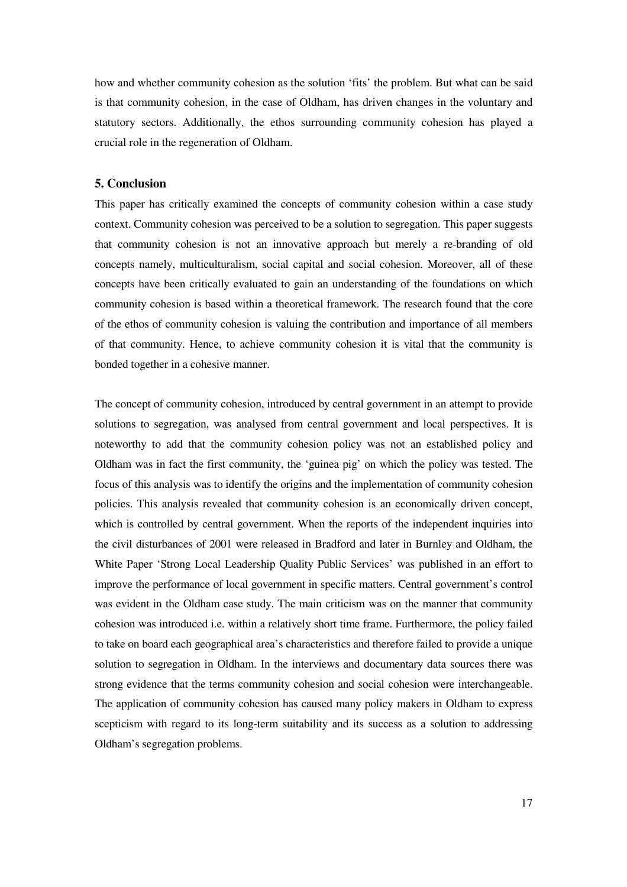how and whether community cohesion as the solution 'fits' the problem. But what can be said is that community cohesion, in the case of Oldham, has driven changes in the voluntary and statutory sectors. Additionally, the ethos surrounding community cohesion has played a crucial role in the regeneration of Oldham.

#### **5. Conclusion**

This paper has critically examined the concepts of community cohesion within a case study context. Community cohesion was perceived to be a solution to segregation. This paper suggests that community cohesion is not an innovative approach but merely a re-branding of old concepts namely, multiculturalism, social capital and social cohesion. Moreover, all of these concepts have been critically evaluated to gain an understanding of the foundations on which community cohesion is based within a theoretical framework. The research found that the core of the ethos of community cohesion is valuing the contribution and importance of all members of that community. Hence, to achieve community cohesion it is vital that the community is bonded together in a cohesive manner.

The concept of community cohesion, introduced by central government in an attempt to provide solutions to segregation, was analysed from central government and local perspectives. It is noteworthy to add that the community cohesion policy was not an established policy and Oldham was in fact the first community, the 'guinea pig' on which the policy was tested. The focus of this analysis was to identify the origins and the implementation of community cohesion policies. This analysis revealed that community cohesion is an economically driven concept, which is controlled by central government. When the reports of the independent inquiries into the civil disturbances of 2001 were released in Bradford and later in Burnley and Oldham, the White Paper 'Strong Local Leadership Quality Public Services' was published in an effort to improve the performance of local government in specific matters. Central government's control was evident in the Oldham case study. The main criticism was on the manner that community cohesion was introduced i.e. within a relatively short time frame. Furthermore, the policy failed to take on board each geographical area's characteristics and therefore failed to provide a unique solution to segregation in Oldham. In the interviews and documentary data sources there was strong evidence that the terms community cohesion and social cohesion were interchangeable. The application of community cohesion has caused many policy makers in Oldham to express scepticism with regard to its long-term suitability and its success as a solution to addressing Oldham's segregation problems.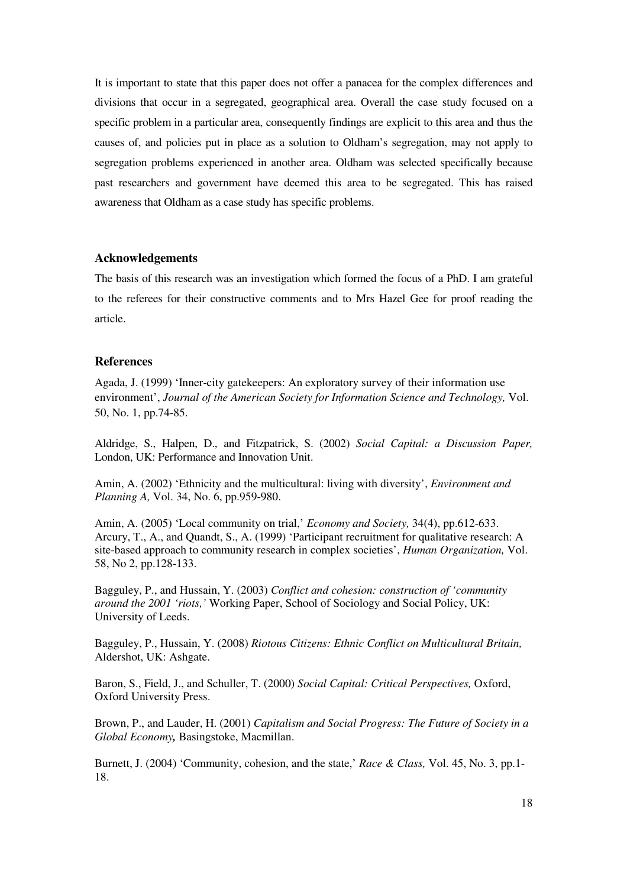It is important to state that this paper does not offer a panacea for the complex differences and divisions that occur in a segregated, geographical area. Overall the case study focused on a specific problem in a particular area, consequently findings are explicit to this area and thus the causes of, and policies put in place as a solution to Oldham's segregation, may not apply to segregation problems experienced in another area. Oldham was selected specifically because past researchers and government have deemed this area to be segregated. This has raised awareness that Oldham as a case study has specific problems.

## **Acknowledgements**

The basis of this research was an investigation which formed the focus of a PhD. I am grateful to the referees for their constructive comments and to Mrs Hazel Gee for proof reading the article.

## **References**

Agada, J. (1999) 'Inner-city gatekeepers: An exploratory survey of their information use environment', *Journal of the American Society for Information Science and Technology,* Vol. 50, No. 1, pp.74-85.

Aldridge, S., Halpen, D., and Fitzpatrick, S. (2002) *Social Capital: a Discussion Paper,* London, UK: Performance and Innovation Unit.

Amin, A. (2002) 'Ethnicity and the multicultural: living with diversity', *Environment and Planning A,* Vol. 34, No. 6, pp.959-980.

Amin, A. (2005) 'Local community on trial,' *Economy and Society,* 34(4), pp.612-633. Arcury, T., A., and Quandt, S., A. (1999) 'Participant recruitment for qualitative research: A site-based approach to community research in complex societies', *Human Organization,* Vol. 58, No 2, pp.128-133.

Bagguley, P., and Hussain, Y. (2003) *Conflict and cohesion: construction of 'community around the 2001 'riots,'* Working Paper, School of Sociology and Social Policy, UK: University of Leeds.

Bagguley, P., Hussain, Y. (2008) *Riotous Citizens: Ethnic Conflict on Multicultural Britain,* Aldershot, UK: Ashgate.

Baron, S., Field, J., and Schuller, T. (2000) *Social Capital: Critical Perspectives,* Oxford, Oxford University Press.

Brown, P., and Lauder, H. (2001) *Capitalism and Social Progress: The Future of Society in a Global Economy,* Basingstoke, Macmillan.

Burnett, J. (2004) 'Community, cohesion, and the state,' *Race & Class,* Vol. 45, No. 3, pp.1- 18.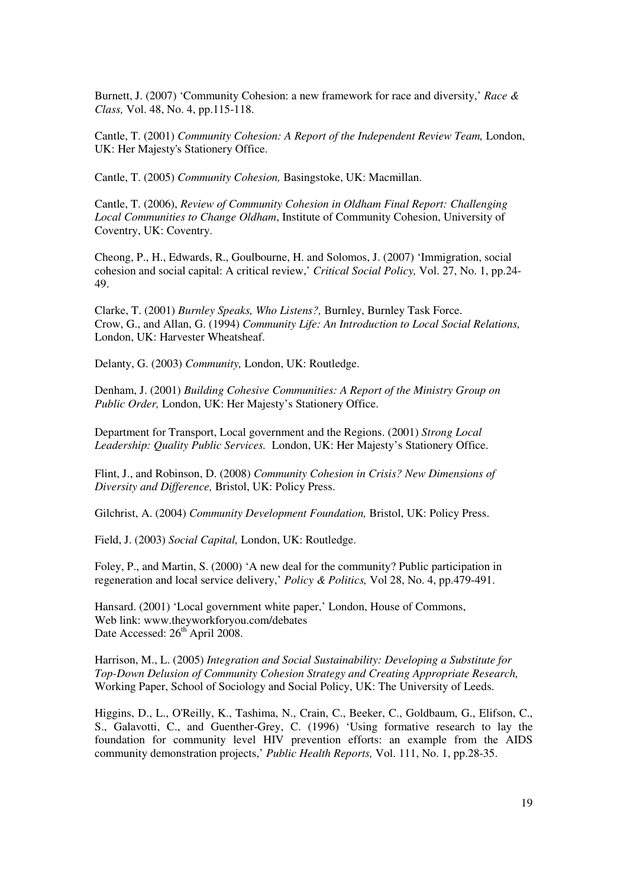Burnett, J. (2007) 'Community Cohesion: a new framework for race and diversity,' *Race & Class,* Vol. 48, No. 4, pp.115-118.

Cantle, T. (2001) *Community Cohesion: A Report of the Independent Review Team,* London, UK: Her Majesty's Stationery Office.

Cantle, T. (2005) *Community Cohesion,* Basingstoke, UK: Macmillan.

Cantle, T. (2006), *Review of Community Cohesion in Oldham Final Report: Challenging Local Communities to Change Oldham*, Institute of Community Cohesion, University of Coventry, UK: Coventry.

Cheong, P., H., Edwards, R., Goulbourne, H. and Solomos, J. (2007) 'Immigration, social cohesion and social capital: A critical review,' *Critical Social Policy,* Vol. 27, No. 1, pp.24- 49.

Clarke, T. (2001) *Burnley Speaks, Who Listens?,* Burnley, Burnley Task Force. Crow, G., and Allan, G. (1994) *Community Life: An Introduction to Local Social Relations,* London, UK: Harvester Wheatsheaf.

Delanty, G. (2003) *Community,* London, UK: Routledge.

Denham, J. (2001) *Building Cohesive Communities: A Report of the Ministry Group on Public Order,* London, UK: Her Majesty's Stationery Office.

Department for Transport, Local government and the Regions. (2001) *Strong Local Leadership: Quality Public Services.* London, UK: Her Majesty's Stationery Office.

Flint, J., and Robinson, D. (2008) *Community Cohesion in Crisis? New Dimensions of Diversity and Difference,* Bristol, UK: Policy Press.

Gilchrist, A. (2004) *Community Development Foundation,* Bristol, UK: Policy Press.

Field, J. (2003) *Social Capital,* London, UK: Routledge.

Foley, P., and Martin, S. (2000) 'A new deal for the community? Public participation in regeneration and local service delivery,' *Policy & Politics,* Vol 28, No. 4, pp.479-491.

Hansard. (2001) 'Local government white paper,' London, House of Commons, Web link: www.theyworkforyou.com/debates Date Accessed: 26<sup>th</sup> April 2008.

Harrison, M., L. (2005) *Integration and Social Sustainability: Developing a Substitute for Top-Down Delusion of Community Cohesion Strategy and Creating Appropriate Research,*  Working Paper, School of Sociology and Social Policy, UK: The University of Leeds.

Higgins, D., L., O'Reilly, K., Tashima, N., Crain, C., Beeker, C., Goldbaum, G., Elifson, C., S., Galavotti, C., and Guenther-Grey, C. (1996) 'Using formative research to lay the foundation for community level HIV prevention efforts: an example from the AIDS community demonstration projects,' *Public Health Reports,* Vol. 111, No. 1, pp.28-35.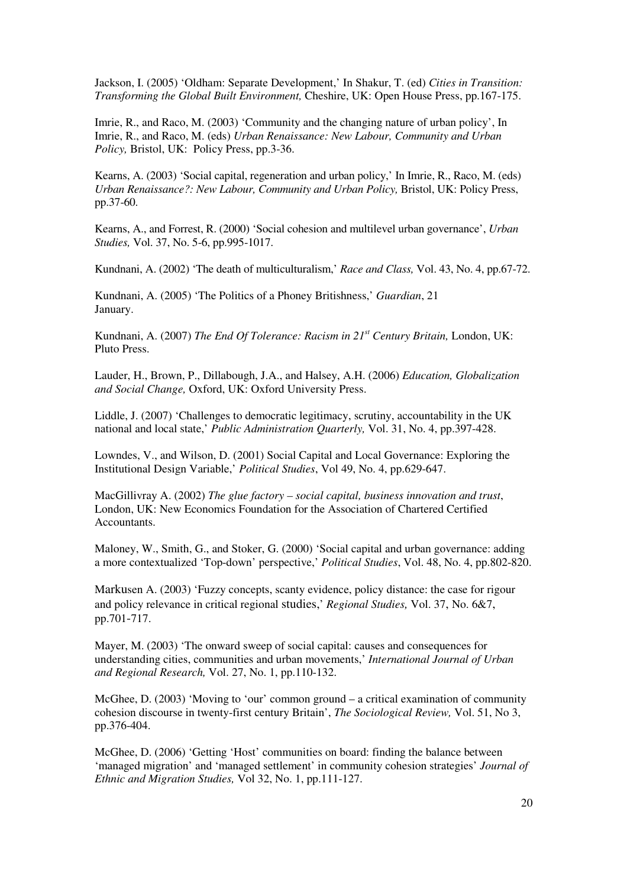Jackson, I. (2005) 'Oldham: Separate Development,' In Shakur, T. (ed) *Cities in Transition: Transforming the Global Built Environment,* Cheshire, UK: Open House Press, pp.167-175.

Imrie, R., and Raco, M. (2003) 'Community and the changing nature of urban policy', In Imrie, R., and Raco, M. (eds) *Urban Renaissance: New Labour, Community and Urban Policy,* Bristol, UK: Policy Press, pp.3-36.

Kearns, A. (2003) 'Social capital, regeneration and urban policy,' In Imrie, R., Raco, M. (eds) *Urban Renaissance?: New Labour, Community and Urban Policy,* Bristol, UK: Policy Press, pp.37-60.

Kearns, A., and Forrest, R. (2000) 'Social cohesion and multilevel urban governance', *Urban Studies,* Vol. 37, No. 5-6, pp.995-1017.

Kundnani, A. (2002) 'The death of multiculturalism,' *Race and Class,* Vol. 43, No. 4, pp.67-72.

Kundnani, A. (2005) 'The Politics of a Phoney Britishness,' *Guardian*, 21 January.

Kundnani, A. (2007) *The End Of Tolerance: Racism in 21st Century Britain,* London, UK: Pluto Press.

Lauder, H., Brown, P., Dillabough, J.A., and Halsey, A.H. (2006) *Education, Globalization and Social Change,* Oxford, UK: Oxford University Press.

Liddle, J. (2007) 'Challenges to democratic legitimacy, scrutiny, accountability in the UK national and local state,' *Public Administration Quarterly,* Vol. 31, No. 4, pp.397-428.

Lowndes, V., and Wilson, D. (2001) Social Capital and Local Governance: Exploring the Institutional Design Variable,' *Political Studies*, Vol 49, No. 4, pp.629-647.

MacGillivray A. (2002) *The glue factory – social capital, business innovation and trust*, London, UK: New Economics Foundation for the Association of Chartered Certified Accountants.

Maloney, W., Smith, G., and Stoker, G. (2000) 'Social capital and urban governance: adding a more contextualized 'Top-down' perspective,' *Political Studies*, Vol. 48, No. 4, pp.802-820.

Markusen A. (2003) 'Fuzzy concepts, scanty evidence, policy distance: the case for rigour and policy relevance in critical regional studies,' *Regional Studies,* Vol. 37, No. 6&7, pp.701-717.

Mayer, M. (2003) 'The onward sweep of social capital: causes and consequences for understanding cities, communities and urban movements,' *International Journal of Urban and Regional Research,* Vol. 27, No. 1, pp.110-132.

McGhee, D. (2003) 'Moving to 'our' common ground – a critical examination of community cohesion discourse in twenty-first century Britain', *The Sociological Review,* Vol. 51, No 3, pp.376-404.

McGhee, D. (2006) 'Getting 'Host' communities on board: finding the balance between 'managed migration' and 'managed settlement' in community cohesion strategies' *Journal of Ethnic and Migration Studies,* Vol 32, No. 1, pp.111-127.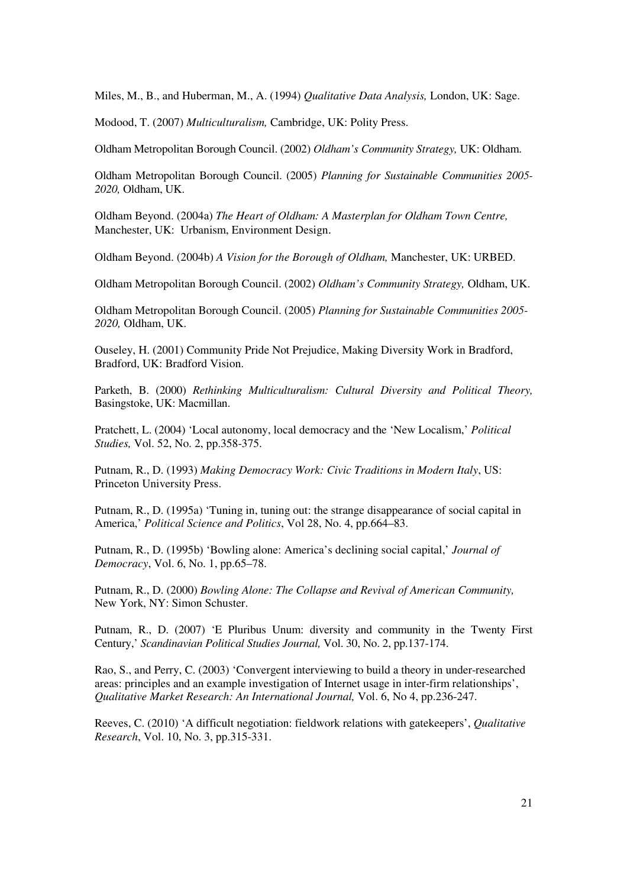Miles, M., B., and Huberman, M., A. (1994) *Qualitative Data Analysis,* London, UK: Sage.

Modood, T. (2007) *Multiculturalism,* Cambridge, UK: Polity Press.

Oldham Metropolitan Borough Council. (2002) *Oldham's Community Strategy,* UK: Oldham.

Oldham Metropolitan Borough Council. (2005) *Planning for Sustainable Communities 2005- 2020,* Oldham, UK.

Oldham Beyond. (2004a) *The Heart of Oldham: A Masterplan for Oldham Town Centre,*  Manchester, UK: Urbanism, Environment Design.

Oldham Beyond. (2004b) *A Vision for the Borough of Oldham,* Manchester, UK: URBED.

Oldham Metropolitan Borough Council. (2002) *Oldham's Community Strategy,* Oldham, UK.

Oldham Metropolitan Borough Council. (2005) *Planning for Sustainable Communities 2005- 2020,* Oldham, UK.

Ouseley, H. (2001) Community Pride Not Prejudice, Making Diversity Work in Bradford, Bradford, UK: Bradford Vision.

Parketh, B. (2000) *Rethinking Multiculturalism: Cultural Diversity and Political Theory,* Basingstoke, UK: Macmillan.

Pratchett, L. (2004) 'Local autonomy, local democracy and the 'New Localism,' *Political Studies,* Vol. 52, No. 2, pp.358-375.

Putnam, R., D. (1993) *Making Democracy Work: Civic Traditions in Modern Italy*, US: Princeton University Press.

Putnam, R., D. (1995a) 'Tuning in, tuning out: the strange disappearance of social capital in America,' *Political Science and Politics*, Vol 28, No. 4, pp.664–83.

Putnam, R., D. (1995b) 'Bowling alone: America's declining social capital,' *Journal of Democracy*, Vol. 6, No. 1, pp.65–78.

Putnam, R., D. (2000) *Bowling Alone: The Collapse and Revival of American Community,*  New York, NY: Simon Schuster.

Putnam, R., D. (2007) 'E Pluribus Unum: diversity and community in the Twenty First Century,' *Scandinavian Political Studies Journal,* Vol. 30, No. 2, pp.137-174.

Rao, S., and Perry, C. (2003) 'Convergent interviewing to build a theory in under-researched areas: principles and an example investigation of Internet usage in inter-firm relationships', *Qualitative Market Research: An International Journal,* Vol. 6, No 4, pp.236-247.

Reeves, C. (2010) 'A difficult negotiation: fieldwork relations with gatekeepers', *Qualitative Research*, Vol. 10, No. 3, pp.315-331.